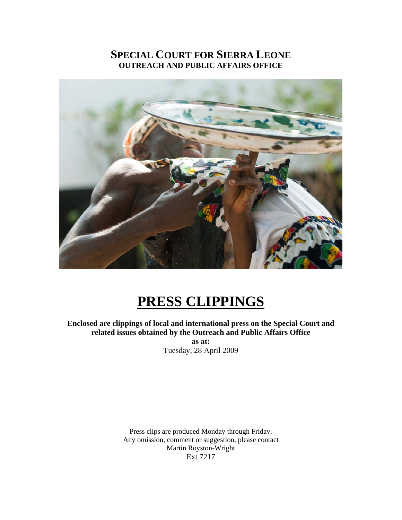# **SPECIAL COURT FOR SIERRA LEONE OUTREACH AND PUBLIC AFFAIRS OFFICE**



# **PRESS CLIPPINGS**

**Enclosed are clippings of local and international press on the Special Court and related issues obtained by the Outreach and Public Affairs Office** 

**as at:**  Tuesday, 28 April 2009

Press clips are produced Monday through Friday. Any omission, comment or suggestion, please contact Martin Royston-Wright Ext 7217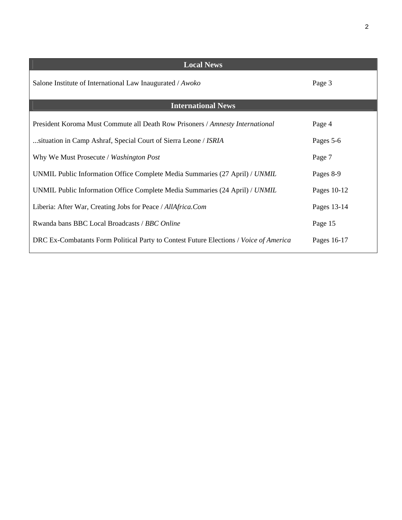| <b>Local News</b>                                                                     |             |
|---------------------------------------------------------------------------------------|-------------|
| Salone Institute of International Law Inaugurated / Awoko                             | Page 3      |
| <b>International News</b>                                                             |             |
| President Koroma Must Commute all Death Row Prisoners / Amnesty International         | Page 4      |
| situation in Camp Ashraf, Special Court of Sierra Leone / ISRIA                       | Pages 5-6   |
| Why We Must Prosecute / Washington Post                                               | Page 7      |
| UNMIL Public Information Office Complete Media Summaries (27 April) / UNMIL           | Pages 8-9   |
| UNMIL Public Information Office Complete Media Summaries (24 April) / UNMIL           | Pages 10-12 |
| Liberia: After War, Creating Jobs for Peace / AllAfrica.Com                           | Pages 13-14 |
| Rwanda bans BBC Local Broadcasts / BBC Online                                         | Page 15     |
| DRC Ex-Combatants Form Political Party to Contest Future Elections / Voice of America | Pages 16-17 |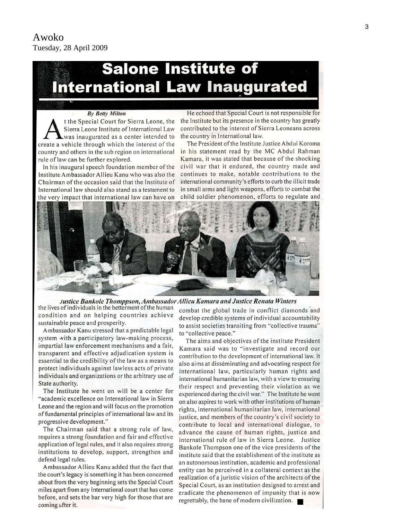### Awoko Tuesday, 28 April 2009

# **Salone Institute of International Law Inaugurated**

**By Betty Milton** 

t the Special Court for Sierra Leone, the Sierra Leone Institute of International Law was inaugurated as a center intended to create a vehicle through which the interest of the country and others in the sub region on international rule of law can be further explored.

In his inaugural speech foundation member of the Institute Ambassador Allieu Kanu who was also the Chairman of the occasion said that the Institute of International law should also stand as a testament to the very impact that international law can have on

He echoed that Special Court is not responsible for the Institute but its presence in the country has greatly contributed to the interest of Sierra Leoneans across the country in International law.

The President of the Institute Justice Abdul Koroma in his statement read by the MC Abdul Rahman Kamara, it was stated that because of the shocking civil war that it endured, the country made and continues to make, notable contributions to the international community's efforts to curb the illicit trade in small arms and light weapons, efforts to combat the child soldier phenomenon, efforts to regulate and



the lives of individuals in the betterment of the human condition and on helping countries achieve sustainable peace and prosperity.

Ambassador Kanu stressed that a predictable legal system with a participatory law-making process, impartial law enforcement mechanisms and a fair, transparent and effective adjudication system is essential to the credibility of the law as a means to protect individuals against lawless acts of private individuals and organizations or the arbitrary use of State authority.

The Institute he went on will be a center for "academic excellence on International law in Sierra Leone and the region and will focus on the promotion of fundamental principles of international law and its progressive development."

The Chairman said that a strong rule of law, requires a strong foundation and fair and effective application of legal rules, and it also requires strong institutions to develop, support, strengthen and defend legal rules.

Ambassador Allieu Kanu added that the fact that the court's legacy is something it has been concerned about from the very beginning sets the Special Court miles apart from any International court that has come before, and sets the bar very high for those that are coming after it.

Justice Bankole Thomppson, Ambassador Allieu Kamara and Justice Renata Winters

combat the global trade in conflict diamonds and develop credible systems of individual accountability to assist societies transiting from "collective trauma" to "collective peace."

The aims and objectives of the institute President Kamara said was to "investigate and record our contribution to the development of international law. It also aims at disseminating and advocating respect for international law, particularly human rights and international humanitarian law, with a view to ensuring their respect and preventing their violation as we experienced during the civil war." The Institute he went on also aspires to work with other institutions of human rights, international humanitarian law, international justice, and members of the country's civil society to contribute to local and international dialogue, to advance the cause of human rights, justice and international rule of law in Sierra Leone. Justice Bankole Thompson one of the vice presidents of the institute said that the establishment of the institute as an autonomous institution, academic and professional entity can be perceived in a collateral context as the realization of a juristic vision of the architects of the Special Court, as an institution designed to arrest and eradicate the phenomenon of impunity that is now regrettably, the bane of modern civilization.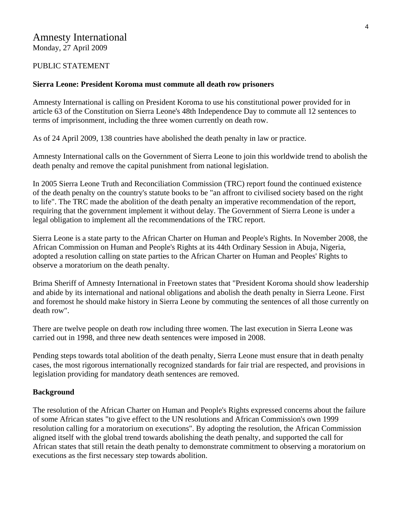# Amnesty International

Monday, 27 April 2009

### PUBLIC STATEMENT

### **Sierra Leone: President Koroma must commute all death row prisoners**

Amnesty International is calling on President Koroma to use his constitutional power provided for in article 63 of the Constitution on Sierra Leone's 48th Independence Day to commute all 12 sentences to terms of imprisonment, including the three women currently on death row.

As of 24 April 2009, 138 countries have abolished the death penalty in law or practice.

Amnesty International calls on the Government of Sierra Leone to join this worldwide trend to abolish the death penalty and remove the capital punishment from national legislation.

In 2005 Sierra Leone Truth and Reconciliation Commission (TRC) report found the continued existence of the death penalty on the country's statute books to be "an affront to civilised society based on the right to life". The TRC made the abolition of the death penalty an imperative recommendation of the report, requiring that the government implement it without delay. The Government of Sierra Leone is under a legal obligation to implement all the recommendations of the TRC report.

Sierra Leone is a state party to the African Charter on Human and People's Rights. In November 2008, the African Commission on Human and People's Rights at its 44th Ordinary Session in Abuja, Nigeria, adopted a resolution calling on state parties to the African Charter on Human and Peoples' Rights to observe a moratorium on the death penalty.

Brima Sheriff of Amnesty International in Freetown states that "President Koroma should show leadership and abide by its international and national obligations and abolish the death penalty in Sierra Leone. First and foremost he should make history in Sierra Leone by commuting the sentences of all those currently on death row".

There are twelve people on death row including three women. The last execution in Sierra Leone was carried out in 1998, and three new death sentences were imposed in 2008.

Pending steps towards total abolition of the death penalty, Sierra Leone must ensure that in death penalty cases, the most rigorous internationally recognized standards for fair trial are respected, and provisions in legislation providing for mandatory death sentences are removed.

### **Background**

The resolution of the African Charter on Human and People's Rights expressed concerns about the failure of some African states "to give effect to the UN resolutions and African Commission's own 1999 resolution calling for a moratorium on executions". By adopting the resolution, the African Commission aligned itself with the global trend towards abolishing the death penalty, and supported the call for African states that still retain the death penalty to demonstrate commitment to observing a moratorium on executions as the first necessary step towards abolition.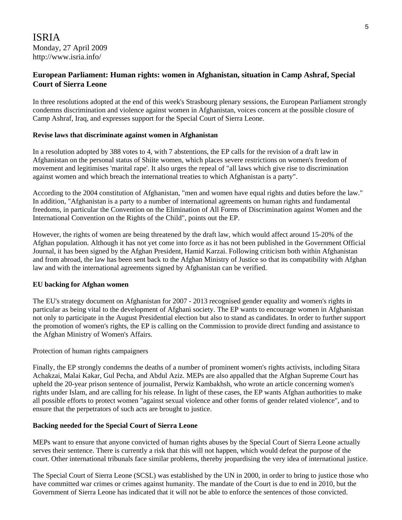### **European Parliament: Human rights: women in Afghanistan, situation in Camp Ashraf, Special Court of Sierra Leone**

In three resolutions adopted at the end of this week's Strasbourg plenary sessions, the European Parliament strongly condemns discrimination and violence against women in Afghanistan, voices concern at the possible closure of Camp Ashraf, Iraq, and expresses support for the Special Court of Sierra Leone.

### **Revise laws that discriminate against women in Afghanistan**

In a resolution adopted by 388 votes to 4, with 7 abstentions, the EP calls for the revision of a draft law in Afghanistan on the personal status of Shiite women, which places severe restrictions on women's freedom of movement and legitimises 'marital rape'. It also urges the repeal of "all laws which give rise to discrimination against women and which breach the international treaties to which Afghanistan is a party".

According to the 2004 constitution of Afghanistan, "men and women have equal rights and duties before the law." In addition, "Afghanistan is a party to a number of international agreements on human rights and fundamental freedoms, in particular the Convention on the Elimination of All Forms of Discrimination against Women and the International Convention on the Rights of the Child", points out the EP.

However, the rights of women are being threatened by the draft law, which would affect around 15-20% of the Afghan population. Although it has not yet come into force as it has not been published in the Government Official Journal, it has been signed by the Afghan President, Hamid Karzai. Following criticism both within Afghanistan and from abroad, the law has been sent back to the Afghan Ministry of Justice so that its compatibility with Afghan law and with the international agreements signed by Afghanistan can be verified.

### **EU backing for Afghan women**

The EU's strategy document on Afghanistan for 2007 - 2013 recognised gender equality and women's rights in particular as being vital to the development of Afghani society. The EP wants to encourage women in Afghanistan not only to participate in the August Presidential election but also to stand as candidates. In order to further support the promotion of women's rights, the EP is calling on the Commission to provide direct funding and assistance to the Afghan Ministry of Women's Affairs.

### Protection of human rights campaigners

Finally, the EP strongly condemns the deaths of a number of prominent women's rights activists, including Sitara Achakzai, Malai Kakar, Gul Pecha, and Abdul Aziz. MEPs are also appalled that the Afghan Supreme Court has upheld the 20-year prison sentence of journalist, Perwiz Kambakhsh, who wrote an article concerning women's rights under Islam, and are calling for his release. In light of these cases, the EP wants Afghan authorities to make all possible efforts to protect women "against sexual violence and other forms of gender related violence", and to ensure that the perpetrators of such acts are brought to justice.

### **Backing needed for the Special Court of Sierra Leone**

MEPs want to ensure that anyone convicted of human rights abuses by the Special Court of Sierra Leone actually serves their sentence. There is currently a risk that this will not happen, which would defeat the purpose of the court. Other international tribunals face similar problems, thereby jeopardising the very idea of international justice.

The Special Court of Sierra Leone (SCSL) was established by the UN in 2000, in order to bring to justice those who have committed war crimes or crimes against humanity. The mandate of the Court is due to end in 2010, but the Government of Sierra Leone has indicated that it will not be able to enforce the sentences of those convicted.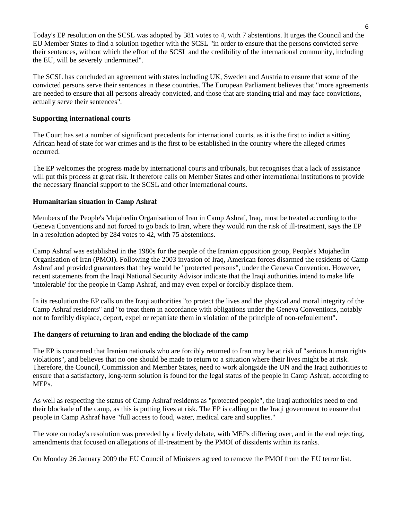Today's EP resolution on the SCSL was adopted by 381 votes to 4, with 7 abstentions. It urges the Council and the EU Member States to find a solution together with the SCSL "in order to ensure that the persons convicted serve their sentences, without which the effort of the SCSL and the credibility of the international community, including the EU, will be severely undermined".

The SCSL has concluded an agreement with states including UK, Sweden and Austria to ensure that some of the convicted persons serve their sentences in these countries. The European Parliament believes that "more agreements are needed to ensure that all persons already convicted, and those that are standing trial and may face convictions, actually serve their sentences".

### **Supporting international courts**

The Court has set a number of significant precedents for international courts, as it is the first to indict a sitting African head of state for war crimes and is the first to be established in the country where the alleged crimes occurred.

The EP welcomes the progress made by international courts and tribunals, but recognises that a lack of assistance will put this process at great risk. It therefore calls on Member States and other international institutions to provide the necessary financial support to the SCSL and other international courts.

### **Humanitarian situation in Camp Ashraf**

Members of the People's Mujahedin Organisation of Iran in Camp Ashraf, Iraq, must be treated according to the Geneva Conventions and not forced to go back to Iran, where they would run the risk of ill-treatment, says the EP in a resolution adopted by 284 votes to 42, with 75 abstentions.

Camp Ashraf was established in the 1980s for the people of the Iranian opposition group, People's Mujahedin Organisation of Iran (PMOI). Following the 2003 invasion of Iraq, American forces disarmed the residents of Camp Ashraf and provided guarantees that they would be "protected persons", under the Geneva Convention. However, recent statements from the Iraqi National Security Advisor indicate that the Iraqi authorities intend to make life 'intolerable' for the people in Camp Ashraf, and may even expel or forcibly displace them.

In its resolution the EP calls on the Iraqi authorities "to protect the lives and the physical and moral integrity of the Camp Ashraf residents" and "to treat them in accordance with obligations under the Geneva Conventions, notably not to forcibly displace, deport, expel or repatriate them in violation of the principle of non-refoulement".

### **The dangers of returning to Iran and ending the blockade of the camp**

The EP is concerned that Iranian nationals who are forcibly returned to Iran may be at risk of "serious human rights violations", and believes that no one should be made to return to a situation where their lives might be at risk. Therefore, the Council, Commission and Member States, need to work alongside the UN and the Iraqi authorities to ensure that a satisfactory, long-term solution is found for the legal status of the people in Camp Ashraf, according to MEPs.

As well as respecting the status of Camp Ashraf residents as "protected people", the Iraqi authorities need to end their blockade of the camp, as this is putting lives at risk. The EP is calling on the Iraqi government to ensure that people in Camp Ashraf have "full access to food, water, medical care and supplies."

The vote on today's resolution was preceded by a lively debate, with MEPs differing over, and in the end rejecting, amendments that focused on allegations of ill-treatment by the PMOI of dissidents within its ranks.

On Monday 26 January 2009 the EU Council of Ministers agreed to remove the PMOI from the EU terror list.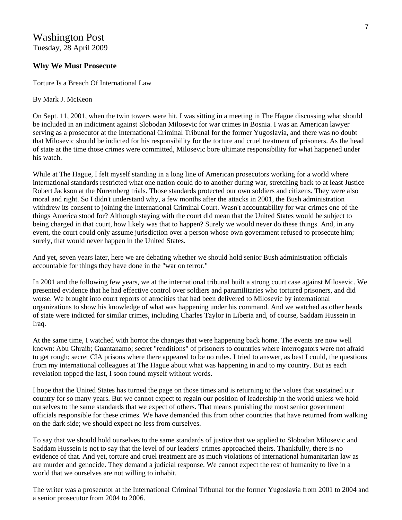# Washington Post

Tuesday, 28 April 2009

### **Why We Must Prosecute**

Torture Is a Breach Of International Law

### By Mark J. McKeon

On Sept. 11, 2001, when the twin towers were hit, I was sitting in a meeting in The Hague discussing what should be included in an indictment against Slobodan Milosevic for war crimes in Bosnia. I was an American lawyer serving as a prosecutor at the International Criminal Tribunal for the former Yugoslavia, and there was no doubt that Milosevic should be indicted for his responsibility for the torture and cruel treatment of prisoners. As the head of state at the time those crimes were committed, Milosevic bore ultimate responsibility for what happened under his watch.

While at The Hague, I felt myself standing in a long line of American prosecutors working for a world where international standards restricted what one nation could do to another during war, stretching back to at least Justice Robert Jackson at the Nuremberg trials. Those standards protected our own soldiers and citizens. They were also moral and right. So I didn't understand why, a few months after the attacks in 2001, the Bush administration withdrew its consent to joining the International Criminal Court. Wasn't accountability for war crimes one of the things America stood for? Although staying with the court did mean that the United States would be subject to being charged in that court, how likely was that to happen? Surely we would never do these things. And, in any event, the court could only assume jurisdiction over a person whose own government refused to prosecute him; surely, that would never happen in the United States.

And yet, seven years later, here we are debating whether we should hold senior Bush administration officials accountable for things they have done in the "war on terror."

In 2001 and the following few years, we at the international tribunal built a strong court case against Milosevic. We presented evidence that he had effective control over soldiers and paramilitaries who tortured prisoners, and did worse. We brought into court reports of atrocities that had been delivered to Milosevic by international organizations to show his knowledge of what was happening under his command. And we watched as other heads of state were indicted for similar crimes, including Charles Taylor in Liberia and, of course, Saddam Hussein in Iraq.

At the same time, I watched with horror the changes that were happening back home. The events are now well known: Abu Ghraib; Guantanamo; secret "renditions" of prisoners to countries where interrogators were not afraid to get rough; secret CIA prisons where there appeared to be no rules. I tried to answer, as best I could, the questions from my international colleagues at The Hague about what was happening in and to my country. But as each revelation topped the last, I soon found myself without words.

I hope that the United States has turned the page on those times and is returning to the values that sustained our country for so many years. But we cannot expect to regain our position of leadership in the world unless we hold ourselves to the same standards that we expect of others. That means punishing the most senior government officials responsible for these crimes. We have demanded this from other countries that have returned from walking on the dark side; we should expect no less from ourselves.

To say that we should hold ourselves to the same standards of justice that we applied to Slobodan Milosevic and Saddam Hussein is not to say that the level of our leaders' crimes approached theirs. Thankfully, there is no evidence of that. And yet, torture and cruel treatment are as much violations of international humanitarian law as are murder and genocide. They demand a judicial response. We cannot expect the rest of humanity to live in a world that we ourselves are not willing to inhabit.

The writer was a prosecutor at the International Criminal Tribunal for the former Yugoslavia from 2001 to 2004 and a senior prosecutor from 2004 to 2006.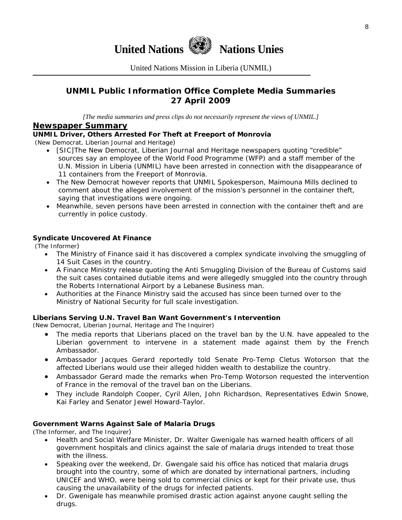

# **UNMIL Public Information Office Complete Media Summaries 27 April 2009**

*[The media summaries and press clips do not necessarily represent the views of UNMIL.]* 

### **Newspaper Summary**

### **UNMIL Driver, Others Arrested For Theft at Freeport of Monrovia**

 *(New Democrat, Liberian Journal and Heritage*)

- [SIC]The New Democrat, Liberian Journal and Heritage newspapers quoting "credible" sources say an employee of the World Food Programme (WFP) and a staff member of the U.N. Mission in Liberia (UNMIL) have been arrested in connection with the disappearance of 11 containers from the Freeport of Monrovia.
- The New Democrat however reports that UNMIL Spokesperson, Maimouna Mills declined to comment about the alleged involvement of the mission's personnel in the container theft, saying that investigations were ongoing.
- Meanwhile, seven persons have been arrested in connection with the container theft and are currently in police custody.

### **Syndicate Uncovered At Finance**

 *(The Informer*)

- The Ministry of Finance said it has discovered a complex syndicate involving the smuggling of 14 Suit Cases in the country.
- A Finance Ministry release quoting the Anti Smuggling Division of the Bureau of Customs said the suit cases contained dutiable items and were allegedly smuggled into the country through the Roberts International Airport by a Lebanese Business man.
- Authorities at the Finance Ministry said the accused has since been turned over to the Ministry of National Security for full scale investigation.

### **Liberians Serving U.N. Travel Ban Want Government's Intervention**

*(New Democrat, Liberian Journal, Heritage and The Inquirer)*

- The media reports that Liberians placed on the travel ban by the U.N. have appealed to the Liberian government to intervene in a statement made against them by the French Ambassador.
- Ambassador Jacques Gerard reportedly told Senate Pro-Temp Cletus Wotorson that the affected Liberians would use their alleged hidden wealth to destabilize the country.
- Ambassador Gerard made the remarks when Pro-Temp Wotorson requested the intervention of France in the removal of the travel ban on the Liberians.
- They include Randolph Cooper, Cyril Allen, John Richardson, Representatives Edwin Snowe, Kai Farley and Senator Jewel Howard-Taylor.

### **Government Warns Against Sale of Malaria Drugs**

*(The Informer, and The Inquirer*)

- Health and Social Welfare Minister, Dr. Walter Gwenigale has warned health officers of all government hospitals and clinics against the sale of malaria drugs intended to treat those with the illness.
- Speaking over the weekend, Dr. Gwengale said his office has noticed that malaria drugs brought into the country, some of which are donated by international partners, including UNICEF and WHO, were being sold to commercial clinics or kept for their private use, thus causing the unavailability of the drugs for infected patients.
- Dr. Gwenigale has meanwhile promised drastic action against anyone caught selling the drugs.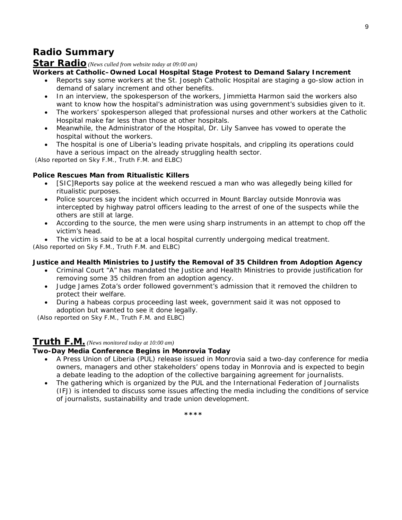# **Radio Summary**

**Star Radio** *(News culled from website today at 09:00 am)*

- **Workers at Catholic–Owned Local Hospital Stage Protest to Demand Salary Increment** 
	- Reports say some workers at the St. Joseph Catholic Hospital are staging a go-slow action in demand of salary increment and other benefits.
	- In an interview, the spokesperson of the workers, Jimmietta Harmon said the workers also want to know how the hospital's administration was using government's subsidies given to it.
	- The workers' spokesperson alleged that professional nurses and other workers at the Catholic Hospital make far less than those at other hospitals.
	- Meanwhile, the Administrator of the Hospital, Dr. Lily Sanvee has vowed to operate the hospital without the workers.
	- The hospital is one of Liberia's leading private hospitals, and crippling its operations could have a serious impact on the already struggling health sector.

 *(Also reported on Sky F.M., Truth F.M. and ELBC)* 

### **Police Rescues Man from Ritualistic Killers**

- [SIC]Reports say police at the weekend rescued a man who was allegedly being killed for ritualistic purposes.
- Police sources say the incident which occurred in Mount Barclay outside Monrovia was intercepted by highway patrol officers leading to the arrest of one of the suspects while the others are still at large.
- According to the source, the men were using sharp instruments in an attempt to chop off the victim's head.
- The victim is said to be at a local hospital currently undergoing medical treatment.

*(Also reported on Sky F.M., Truth F.M. and ELBC)*

### **Justice and Health Ministries to Justify the Removal of 35 Children from Adoption Agency**

- Criminal Court "A" has mandated the Justice and Health Ministries to provide justification for removing some 35 children from an adoption agency.
- Judge James Zota's order followed government's admission that it removed the children to protect their welfare.
- During a habeas corpus proceeding last week, government said it was not opposed to adoption but wanted to see it done legally.

 *(Also reported on Sky F.M., Truth F.M. and ELBC)*

### **Truth F.M.** *(News monitored today at 10:00 am)*

### **Two-Day Media Conference Begins in Monrovia Today**

- A Press Union of Liberia (PUL) release issued in Monrovia said a two-day conference for media owners, managers and other stakeholders' opens today in Monrovia and is expected to begin a debate leading to the adoption of the collective bargaining agreement for journalists.
- The gathering which is organized by the PUL and the International Federation of Journalists (IFJ) is intended to discuss some issues affecting the media including the conditions of service of journalists, sustainability and trade union development.

 **\*\*\*\***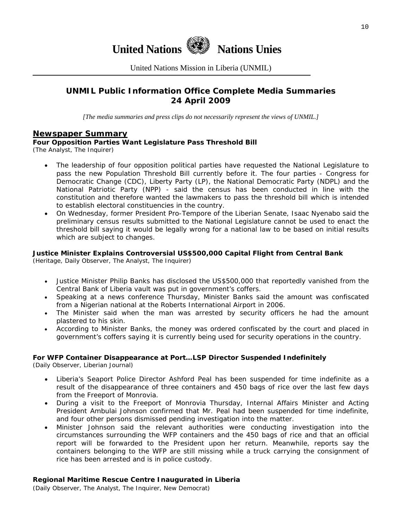

United Nations Mission in Liberia (UNMIL)

## **UNMIL Public Information Office Complete Media Summaries 24 April 2009**

*[The media summaries and press clips do not necessarily represent the views of UNMIL.]* 

### **Newspaper Summary**

### **Four Opposition Parties Want Legislature Pass Threshold Bill**

(The Analyst, The Inquirer)

- The leadership of four opposition political parties have requested the National Legislature to pass the new Population Threshold Bill currently before it. The four parties - Congress for Democratic Change (CDC), Liberty Party (LP), the National Democratic Party (NDPL) and the National Patriotic Party (NPP) - said the census has been conducted in line with the constitution and therefore wanted the lawmakers to pass the threshold bill which is intended to establish electoral constituencies in the country.
- On Wednesday, former President Pro-Tempore of the Liberian Senate, Isaac Nyenabo said the preliminary census results submitted to the National Legislature cannot be used to enact the threshold bill saying it would be legally wrong for a national law to be based on initial results which are subject to changes.

### **Justice Minister Explains Controversial US\$500,000 Capital Flight from Central Bank**

(Heritage, Daily Observer, The Analyst, The Inquirer)

- Justice Minister Philip Banks has disclosed the US\$500,000 that reportedly vanished from the Central Bank of Liberia vault was put in government's coffers.
- Speaking at a news conference Thursday, Minister Banks said the amount was confiscated from a Nigerian national at the Roberts International Airport in 2006.
- The Minister said when the man was arrested by security officers he had the amount plastered to his skin.
- According to Minister Banks, the money was ordered confiscated by the court and placed in government's coffers saying it is currently being used for security operations in the country.

### **For WFP Container Disappearance at Port…LSP Director Suspended Indefinitely**

(Daily Observer, Liberian Journal)

- Liberia's Seaport Police Director Ashford Peal has been suspended for time indefinite as a result of the disappearance of three containers and 450 bags of rice over the last few days from the Freeport of Monrovia.
- During a visit to the Freeport of Monrovia Thursday, Internal Affairs Minister and Acting President Ambulai Johnson confirmed that Mr. Peal had been suspended for time indefinite, and four other persons dismissed pending investigation into the matter.
- Minister Johnson said the relevant authorities were conducting investigation into the circumstances surrounding the WFP containers and the 450 bags of rice and that an official report will be forwarded to the President upon her return. Meanwhile, reports say the containers belonging to the WFP are still missing while a truck carrying the consignment of rice has been arrested and is in police custody.

### **Regional Maritime Rescue Centre Inaugurated in Liberia**

(Daily Observer, The Analyst, The Inquirer, New Democrat)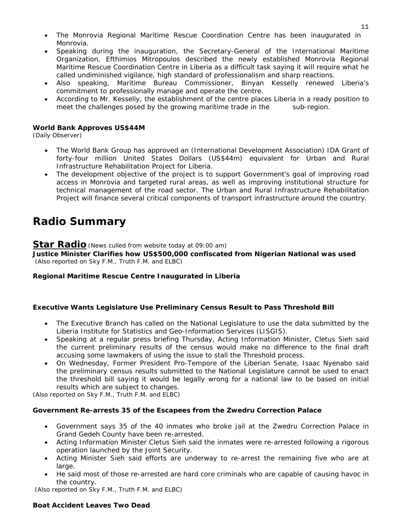- The Monrovia Regional Maritime Rescue Coordination Centre has been inaugurated in Monrovia.
- Speaking during the inauguration, the Secretary-General of the International Maritime Organization, Efthimios Mitropoulos described the newly established Monrovia Regional Maritime Rescue Coordination Centre in Liberia as a difficult task saying it will require what he called undiminished vigilance, high standard of professionalism and sharp reactions.
- Also speaking, Maritime Bureau Commissioner, Binyan Kesselly renewed Liberia's commitment to professionally manage and operate the centre.
- According to Mr. Kesselly, the establishment of the centre places Liberia in a ready position to meet the challenges posed by the growing maritime trade in the sub-region.

#### **World Bank Approves US\$44M**

(Daily Observer)

- The World Bank Group has approved an (International Development Association) IDA Grant of forty-four million United States Dollars (US\$44m) equivalent for Urban and Rural Infrastructure Rehabilitation Project for Liberia.
- The development objective of the project is to support Government's goal of improving road access in Monrovia and targeted rural areas, as well as improving institutional structure for technical management of the road sector. The Urban and Rural Infrastructure Rehabilitation Project will finance several critical components of transport infrastructure around the country.

# **Radio Summary**

### **Star Radio***(News culled from website today at 09:00 am)*

**Justice Minister Clarifies how US\$500,000 confiscated from Nigerian National was used**  *(Also reported on Sky F.M., Truth F.M. and ELBC)* 

#### **Regional Maritime Rescue Centre Inaugurated in Liberia**

### **Executive Wants Legislature Use Preliminary Census Result to Pass Threshold Bill**

- The Executive Branch has called on the National Legislature to use the data submitted by the Liberia Institute for Statistics and Geo-Information Services (LISGIS).
- Speaking at a regular press briefing Thursday, Acting Information Minister, Cletus Sieh said the current preliminary results of the census would make no difference to the final draft accusing some lawmakers of using the issue to stall the Threshold process.
- On Wednesday, Former President Pro-Tempore of the Liberian Senate, Isaac Nyenabo said the preliminary census results submitted to the National Legislature cannot be used to enact the threshold bill saying it would be legally wrong for a national law to be based on initial results which are subject to changes.

*(Also reported on Sky F.M., Truth F.M. and ELBC)*

#### **Government Re-arrests 35 of the Escapees from the Zwedru Correction Palace**

- Government says 35 of the 40 inmates who broke jail at the Zwedru Correction Palace in Grand Gedeh County have been re-arrested.
- Acting Information Minister Cletus Sieh said the inmates were re-arrested following a rigorous operation launched by the Joint Security.
- Acting Minister Sieh said efforts are underway to re-arrest the remaining five who are at large.
- He said most of those re-arrested are hard core criminals who are capable of causing havoc in the country.

 *(Also reported on Sky F.M., Truth F.M. and ELBC)*

#### **Boat Accident Leaves Two Dead**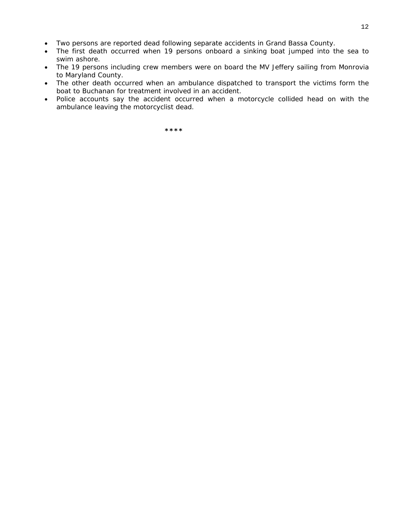- Two persons are reported dead following separate accidents in Grand Bassa County.
- The first death occurred when 19 persons onboard a sinking boat jumped into the sea to swim ashore.
- The 19 persons including crew members were on board the MV Jeffery sailing from Monrovia to Maryland County.
- The other death occurred when an ambulance dispatched to transport the victims form the boat to Buchanan for treatment involved in an accident.
- Police accounts say the accident occurred when a motorcycle collided head on with the ambulance leaving the motorcyclist dead.

**\*\*\*\***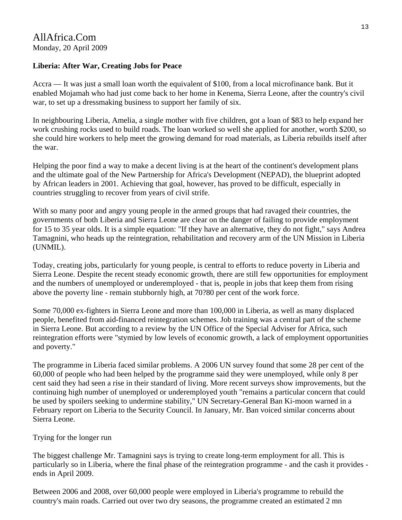## **Liberia: After War, Creating Jobs for Peace**

Accra — It was just a small loan worth the equivalent of \$100, from a local microfinance bank. But it enabled Mojamah who had just come back to her home in Kenema, Sierra Leone, after the country's civil war, to set up a dressmaking business to support her family of six.

In neighbouring Liberia, Amelia, a single mother with five children, got a loan of \$83 to help expand her work crushing rocks used to build roads. The loan worked so well she applied for another, worth \$200, so she could hire workers to help meet the growing demand for road materials, as Liberia rebuilds itself after the war.

Helping the poor find a way to make a decent living is at the heart of the continent's development plans and the ultimate goal of the New Partnership for Africa's Development (NEPAD), the blueprint adopted by African leaders in 2001. Achieving that goal, however, has proved to be difficult, especially in countries struggling to recover from years of civil strife.

With so many poor and angry young people in the armed groups that had ravaged their countries, the governments of both Liberia and Sierra Leone are clear on the danger of failing to provide employment for 15 to 35 year olds. It is a simple equation: "If they have an alternative, they do not fight," says Andrea Tamagnini, who heads up the reintegration, rehabilitation and recovery arm of the UN Mission in Liberia (UNMIL).

Today, creating jobs, particularly for young people, is central to efforts to reduce poverty in Liberia and Sierra Leone. Despite the recent steady economic growth, there are still few opportunities for employment and the numbers of unemployed or underemployed - that is, people in jobs that keep them from rising above the poverty line - remain stubbornly high, at 70?80 per cent of the work force.

Some 70,000 ex-fighters in Sierra Leone and more than 100,000 in Liberia, as well as many displaced people, benefited from aid-financed reintegration schemes. Job training was a central part of the scheme in Sierra Leone. But according to a review by the UN Office of the Special Adviser for Africa, such reintegration efforts were "stymied by low levels of economic growth, a lack of employment opportunities and poverty."

The programme in Liberia faced similar problems. A 2006 UN survey found that some 28 per cent of the 60,000 of people who had been helped by the programme said they were unemployed, while only 8 per cent said they had seen a rise in their standard of living. More recent surveys show improvements, but the continuing high number of unemployed or underemployed youth "remains a particular concern that could be used by spoilers seeking to undermine stability," UN Secretary-General Ban Ki-moon warned in a February report on Liberia to the Security Council. In January, Mr. Ban voiced similar concerns about Sierra Leone.

### Trying for the longer run

The biggest challenge Mr. Tamagnini says is trying to create long-term employment for all. This is particularly so in Liberia, where the final phase of the reintegration programme - and the cash it provides ends in April 2009.

Between 2006 and 2008, over 60,000 people were employed in Liberia's programme to rebuild the country's main roads. Carried out over two dry seasons, the programme created an estimated 2 mn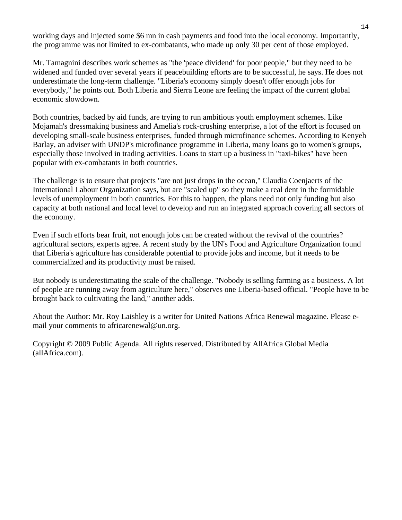working days and injected some \$6 mn in cash payments and food into the local economy. Importantly, the programme was not limited to ex-combatants, who made up only 30 per cent of those employed.

Mr. Tamagnini describes work schemes as "the 'peace dividend' for poor people," but they need to be widened and funded over several years if peacebuilding efforts are to be successful, he says. He does not underestimate the long-term challenge. "Liberia's economy simply doesn't offer enough jobs for everybody," he points out. Both Liberia and Sierra Leone are feeling the impact of the current global economic slowdown.

Both countries, backed by aid funds, are trying to run ambitious youth employment schemes. Like Mojamah's dressmaking business and Amelia's rock-crushing enterprise, a lot of the effort is focused on developing small-scale business enterprises, funded through microfinance schemes. According to Kenyeh Barlay, an adviser with UNDP's microfinance programme in Liberia, many loans go to women's groups, especially those involved in trading activities. Loans to start up a business in "taxi-bikes" have been popular with ex-combatants in both countries.

The challenge is to ensure that projects "are not just drops in the ocean," Claudia Coenjaerts of the International Labour Organization says, but are "scaled up" so they make a real dent in the formidable levels of unemployment in both countries. For this to happen, the plans need not only funding but also capacity at both national and local level to develop and run an integrated approach covering all sectors of the economy.

Even if such efforts bear fruit, not enough jobs can be created without the revival of the countries? agricultural sectors, experts agree. A recent study by the UN's Food and Agriculture Organization found that Liberia's agriculture has considerable potential to provide jobs and income, but it needs to be commercialized and its productivity must be raised.

But nobody is underestimating the scale of the challenge. "Nobody is selling farming as a business. A lot of people are running away from agriculture here," observes one Liberia-based official. "People have to be brought back to cultivating the land," another adds.

About the Author: Mr. Roy Laishley is a writer for United Nations Africa Renewal magazine. Please email your comments to africarenewal@un.org.

Copyright © 2009 Public Agenda. All rights reserved. Distributed by AllAfrica Global Media (allAfrica.com).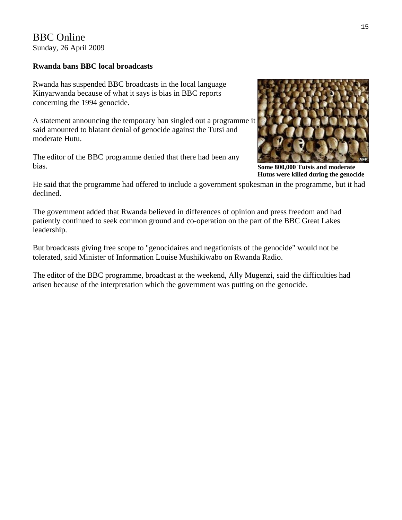BBC Online Sunday, 26 April 2009

### **Rwanda bans BBC local broadcasts**

Rwanda has suspended BBC broadcasts in the local language Kinyarwanda because of what it says is bias in BBC reports concerning the 1994 genocide.

A statement announcing the temporary ban singled out a programme it said amounted to blatant denial of genocide against the Tutsi and moderate Hutu.

The editor of the BBC programme denied that there had been any bias.



**Some 800,000 Tutsis and moderate Hutus were killed during the genocide** 

He said that the programme had offered to include a government spokesman in the programme, but it had declined.

The government added that Rwanda believed in differences of opinion and press freedom and had patiently continued to seek common ground and co-operation on the part of the BBC Great Lakes leadership.

But broadcasts giving free scope to "genocidaires and negationists of the genocide" would not be tolerated, said Minister of Information Louise Mushikiwabo on Rwanda Radio.

The editor of the BBC programme, broadcast at the weekend, Ally Mugenzi, said the difficulties had arisen because of the interpretation which the government was putting on the genocide.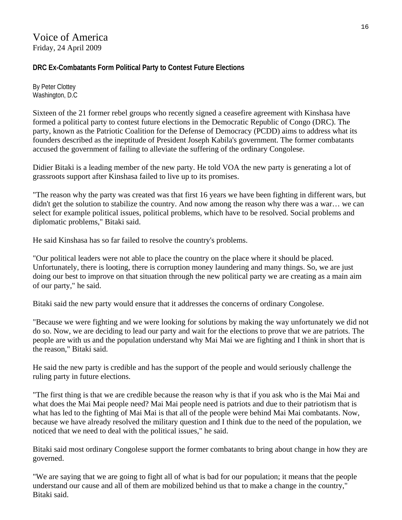Voice of America Friday, 24 April 2009

**DRC Ex-Combatants Form Political Party to Contest Future Elections** 

By Peter Clottey Washington, D.C

Sixteen of the 21 former rebel groups who recently signed a ceasefire agreement with Kinshasa have formed a political party to contest future elections in the Democratic Republic of Congo (DRC). The party, known as the Patriotic Coalition for the Defense of Democracy (PCDD) aims to address what its founders described as the ineptitude of President Joseph Kabila's government. The former combatants accused the government of failing to alleviate the suffering of the ordinary Congolese.

Didier Bitaki is a leading member of the new party. He told VOA the new party is generating a lot of grassroots support after Kinshasa failed to live up to its promises.

"The reason why the party was created was that first 16 years we have been fighting in different wars, but didn't get the solution to stabilize the country. And now among the reason why there was a war… we can select for example political issues, political problems, which have to be resolved. Social problems and diplomatic problems," Bitaki said.

He said Kinshasa has so far failed to resolve the country's problems.

"Our political leaders were not able to place the country on the place where it should be placed. Unfortunately, there is looting, there is corruption money laundering and many things. So, we are just doing our best to improve on that situation through the new political party we are creating as a main aim of our party," he said.

Bitaki said the new party would ensure that it addresses the concerns of ordinary Congolese.

"Because we were fighting and we were looking for solutions by making the way unfortunately we did not do so. Now, we are deciding to lead our party and wait for the elections to prove that we are patriots. The people are with us and the population understand why Mai Mai we are fighting and I think in short that is the reason," Bitaki said.

He said the new party is credible and has the support of the people and would seriously challenge the ruling party in future elections.

"The first thing is that we are credible because the reason why is that if you ask who is the Mai Mai and what does the Mai Mai people need? Mai Mai people need is patriots and due to their patriotism that is what has led to the fighting of Mai Mai is that all of the people were behind Mai Mai combatants. Now, because we have already resolved the military question and I think due to the need of the population, we noticed that we need to deal with the political issues," he said.

Bitaki said most ordinary Congolese support the former combatants to bring about change in how they are governed.

"We are saying that we are going to fight all of what is bad for our population; it means that the people understand our cause and all of them are mobilized behind us that to make a change in the country," Bitaki said.